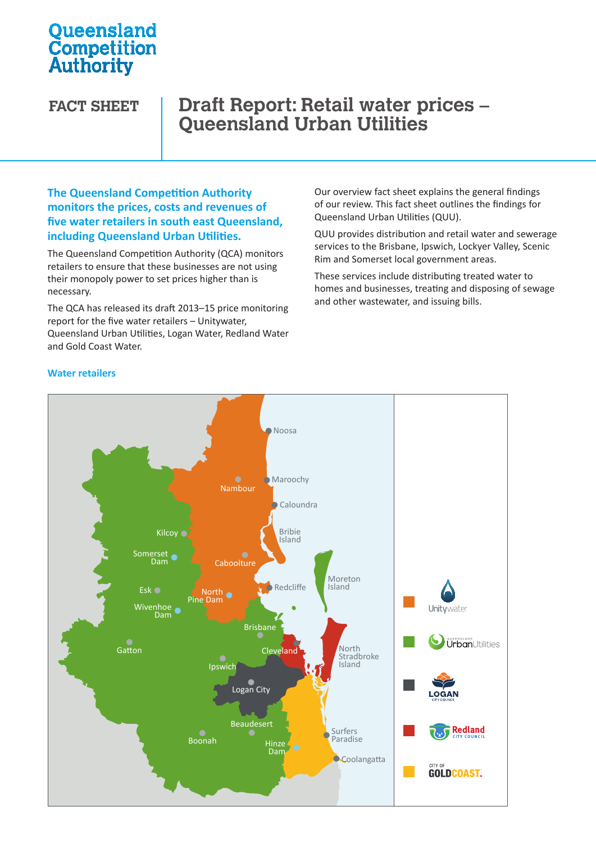# **Oueensland Competition**<br>Authority

# **FACT SHEET Draft Report: Retail water prices – Queensland Urban Utilities**

### **The Queensland Competition Authority monitors the prices, costs and revenues of five water retailers in south east Queensland, including Queensland Urban Utilities.**

The Queensland Competition Authority (QCA) monitors retailers to ensure that these businesses are not using their monopoly power to set prices higher than is necessary.

The QCA has released its draft 2013–15 price monitoring report for the five water retailers – Unitywater, Queensland Urban Utilities, Logan Water, Redland Water Urban Utilities Water Water and Gold Coast Water.

Our overview fact sheet explains the general findings of our review. This fact sheet outlines the findings for Queensland Urban Utilities (QUU).

QUU provides distribution and retail water and sewerage services to the Brisbane, Ipswich, Lockyer Valley, Scenic Rim and Somerset local government areas.

These services include distributing treated water to homes and businesses, treating and disposing of sewage and other wastewater, and issuing bills.



#### **Water retailers**